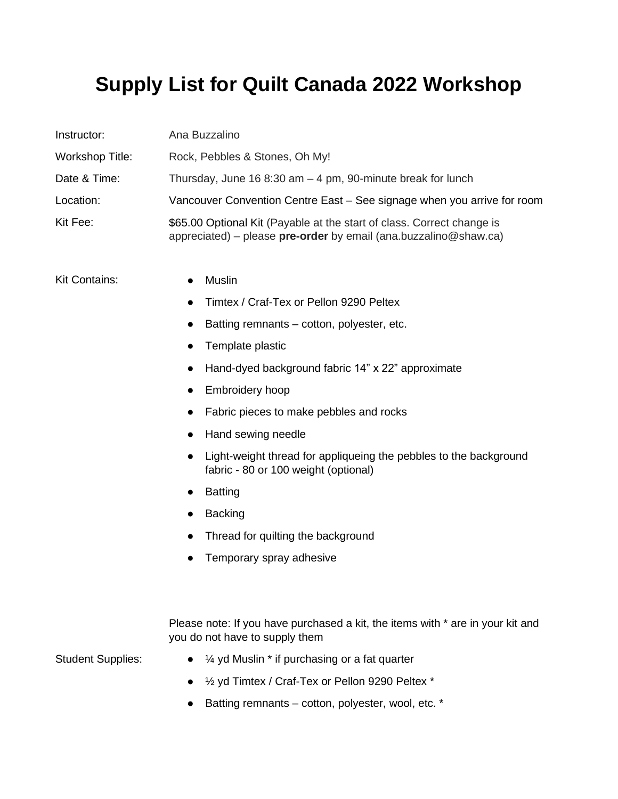## **Supply List for Quilt Canada 2022 Workshop**

| Instructor:              | Ana Buzzalino                                                                                                                              |
|--------------------------|--------------------------------------------------------------------------------------------------------------------------------------------|
| Workshop Title:          | Rock, Pebbles & Stones, Oh My!                                                                                                             |
| Date & Time:             | Thursday, June 16 8:30 am $-$ 4 pm, 90-minute break for lunch                                                                              |
| Location:                | Vancouver Convention Centre East – See signage when you arrive for room                                                                    |
| Kit Fee:                 | \$65.00 Optional Kit (Payable at the start of class. Correct change is<br>appreciated) – please pre-order by email (ana.buzzalino@shaw.ca) |
| Kit Contains:            | Muslin                                                                                                                                     |
|                          | Timtex / Craf-Tex or Pellon 9290 Peltex                                                                                                    |
|                          | Batting remnants – cotton, polyester, etc.<br>$\bullet$                                                                                    |
|                          | Template plastic<br>$\bullet$                                                                                                              |
|                          | Hand-dyed background fabric 14" x 22" approximate<br>$\bullet$                                                                             |
|                          | Embroidery hoop<br>٠                                                                                                                       |
|                          | Fabric pieces to make pebbles and rocks                                                                                                    |
|                          | Hand sewing needle                                                                                                                         |
|                          | Light-weight thread for appliqueing the pebbles to the background<br>fabric - 80 or 100 weight (optional)                                  |
|                          | <b>Batting</b>                                                                                                                             |
|                          | <b>Backing</b>                                                                                                                             |
|                          | Thread for quilting the background                                                                                                         |
|                          | Temporary spray adhesive                                                                                                                   |
|                          | Please note: If you have purchased a kit, the items with * are in your kit and<br>you do not have to supply them                           |
| <b>Student Supplies:</b> | 1/4 yd Muslin * if purchasing or a fat quarter                                                                                             |
|                          | 1/2 yd Timtex / Craf-Tex or Pellon 9290 Peltex *                                                                                           |
|                          | Batting remnants - cotton, polyester, wool, etc. *                                                                                         |